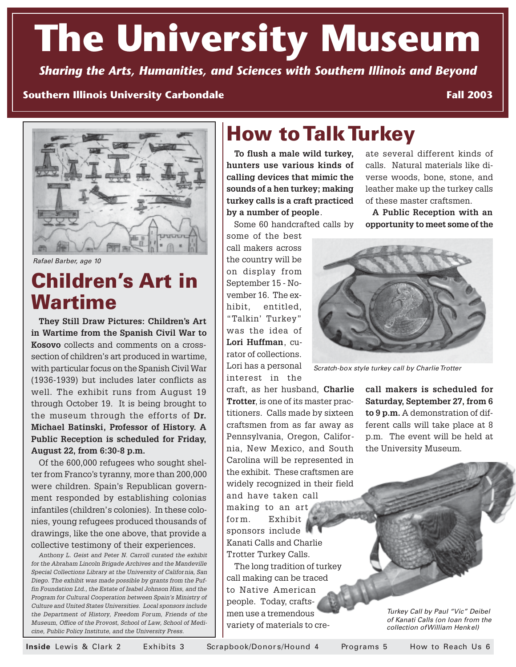# **The University Museum**

*Sharing the Arts, Humanities, and Sciences with Southern Illinois and Beyond*

#### **Southern Illinois University Carbondale**

**Fall 2003**



Rafael Barber, age 10

# **Children's Art in Wartime**

**They Still Draw Pictures: Children's Art in Wartime from the Spanish Civil War to Kosovo** collects and comments on a crosssection of children's art produced in wartime, with particular focus on the Spanish Civil War (1936-1939) but includes later conflicts as well. The exhibit runs from August 19 through October 19. It is being brought to the museum through the efforts of **Dr. Michael Batinski, Professor of History. A Public Reception is scheduled for Friday, August 22, from 6:30-8 p.m.**

Of the 600,000 refugees who sought shelter from Franco's tyranny, more than 200,000 were children. Spain's Republican government responded by establishing colonias infantiles (children's colonies). In these colonies, young refugees produced thousands of drawings, like the one above, that provide a collective testimony of their experiences.

Anthony L. Geist and Peter N. Carroll curated the exhibit for the Abraham Lincoln Brigade Archives and the Mandeville Special Collections Library at the University of California, San Diego. The exhibit was made possible by grants from the Puffin Foundation Ltd., the Estate of Isabel Johnson Hiss, and the Program for Cultural Cooperation between Spain's Ministry of Culture and United States Universities. Local sponsors include the Department of History, Freedom Forum, Friends of the Museum, Office of the Provost, School of Law, School of Medicine, Public Policy Institute, and the University Press.

# **How to Talk Turkey**

**To flush a male wild turkey, hunters use various kinds of calling devices that mimic the sounds of a hen turkey; making turkey calls is a craft practiced by a number of people**.

Some 60 handcrafted calls by

some of the best call makers across the country will be on display from September 15 - November 16. The exhibit, entitled, "Talkin' Turkey" was the idea of **Lori Huffman**, curator of collections. Lori has a personal interest in the

craft, as her husband, **Charlie Trotter**, is one of its master practitioners. Calls made by sixteen craftsmen from as far away as Pennsylvania, Oregon, California, New Mexico, and South Carolina will be represented in the exhibit. These craftsmen are widely recognized in their field and have taken call making to an art form. Exhibit sponsors include Kanati Calls and Charlie Trotter Turkey Calls.

The long tradition of turkey call making can be traced to Native American people. Today, craftsmen use a tremendous variety of materials to cre-

ate several different kinds of calls. Natural materials like diverse woods, bone, stone, and leather make up the turkey calls of these master craftsmen.

**A Public Reception with an opportunity to meet some of the**



Scratch-box style turkey call by Charlie Trotter

**call makers is scheduled for Saturday, September 27, from 6 to 9 p.m.** A demonstration of different calls will take place at 8 p.m. The event will be held at the University Museum.

> Turkey Call by Paul "Vic" Deibel of Kanati Calls (on loan from the collection of William Henkel)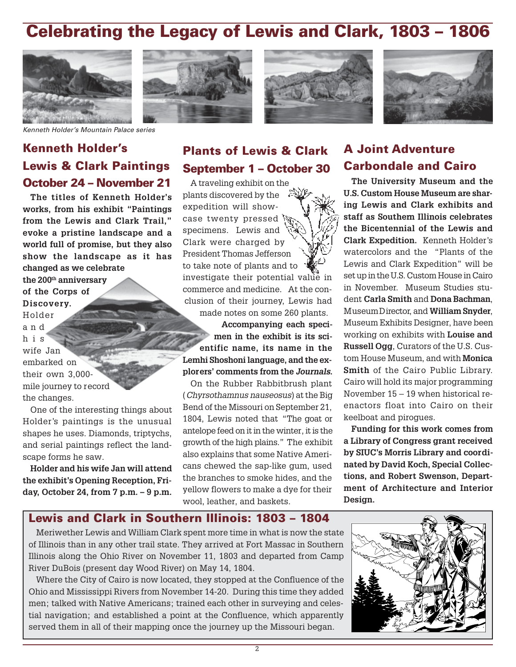# **Celebrating the Legacy of Lewis and Clark, 1803 – 1806**









Kenneth Holder's Mountain Palace series

# **Kenneth Holder's Lewis & Clark Paintings October 24 – November 21**

**The titles of Kenneth Holder's works, from his exhibit "Paintings from the Lewis and Clark Trail," evoke a pristine landscape and a world full of promise, but they also show the landscape as it has changed as we celebrate the 200th anniversary of the Corps of Discovery.** Holder

and his wife Jan embarked on their own 3,000 mile journey to record the changes.

One of the interesting things about Holder's paintings is the unusual shapes he uses. Diamonds, triptychs, and serial paintings reflect the landscape forms he saw.

**Holder and his wife Jan will attend the exhibit's Opening Reception, Friday, October 24, from 7 p.m. – 9 p.m.**

### **Plants of Lewis & Clark September 1 – October 30**

A traveling exhibit on the plants discovered by the expedition will showcase twenty pressed specimens. Lewis and Clark were charged by President Thomas Jefferson to take note of plants and to investigate their potential value in commerce and medicine. At the conclusion of their journey, Lewis had made notes on some 260 plants.

**Accompanying each specimen in the exhibit is its scientific name, its name in the Lemhi Shoshoni language, and the explorers' comments from the Journals.**

On the Rubber Rabbitbrush plant (Chyrsothamnus nauseosus) at the Big Bend of the Missouri on September 21, 1804, Lewis noted that "The goat or antelope feed on it in the winter, it is the growth of the high plains." The exhibit also explains that some Native Americans chewed the sap-like gum, used the branches to smoke hides, and the yellow flowers to make a dye for their wool, leather, and baskets.

## **A Joint Adventure Carbondale and Cairo**

**The University Museum and the U.S. Custom House Museum are sharing Lewis and Clark exhibits and staff as Southern Illinois celebrates the Bicentennial of the Lewis and Clark Expedition.** Kenneth Holder's watercolors and the "Plants of the Lewis and Clark Expedition" will be set up in the U.S. Custom House in Cairo in November. Museum Studies student **Carla Smith** and **Dona Bachman**, Museum Director, and **William Snyder**, Museum Exhibits Designer, have been working on exhibits with **Louise and Russell Ogg**, Curators of the U.S. Custom House Museum, and with **Monica Smith** of the Cairo Public Library. Cairo will hold its major programming November 15 – 19 when historical reenactors float into Cairo on their keelboat and pirogues.

**Funding for this work comes from a Library of Congress grant received by SIUC's Morris Library and coordinated by David Koch, Special Collections, and Robert Swenson, Department of Architecture and Interior Design.**

#### **Lewis and Clark in Southern Illinois: 1803 – 1804**

Meriwether Lewis and William Clark spent more time in what is now the state of Illinois than in any other trail state. They arrived at Fort Massac in Southern Illinois along the Ohio River on November 11, 1803 and departed from Camp River DuBois (present day Wood River) on May 14, 1804.

Where the City of Cairo is now located, they stopped at the Confluence of the Ohio and Mississippi Rivers from November 14-20. During this time they added men; talked with Native Americans; trained each other in surveying and celestial navigation; and established a point at the Confluence, which apparently served them in all of their mapping once the journey up the Missouri began.

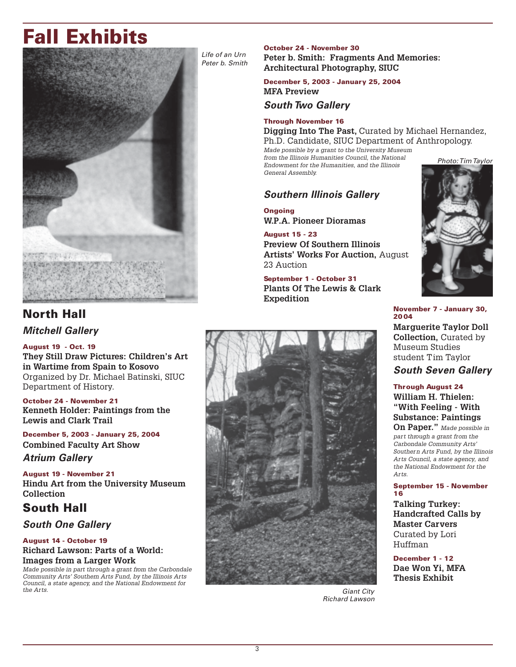# **Fall Exhibits**



### **North Hall Mitchell Gallery**

#### **August 19 - Oct. 19**

**They Still Draw Pictures: Children's Art in Wartime from Spain to Kosovo** Organized by Dr. Michael Batinski, SIUC Department of History.

**October 24 - November 21 Kenneth Holder: Paintings from the Lewis and Clark Trail**

**December 5, 2003 - January 25, 2004 Combined Faculty Art Show**

#### **Atrium Gallery**

**August 19 - November 21 Hindu Art from the University Museum Collection**

### **South Hall**

#### **South One Gallery**

#### **August 14 - October 19 Richard Lawson: Parts of a World: Images from a Larger Work**

Made possible in part through a grant from the Carbondale Community Arts' Southern Arts Fund, by the Illinois Arts Council, a state agency, and the National Endowment for the Arts.

Life of an Urn Peter b. Smith

### **October 24 - November 30**

**Peter b. Smith: Fragments And Memories: Architectural Photography, SIUC**

#### **December 5, 2003 - January 25, 2004 MFA Preview**

#### **South Two Gallery**

#### **Through November 16**

**Digging Into The Past,** Curated by Michael Hernandez, Ph.D. Candidate, SIUC Department of Anthropology.

Made possible by a grant to the University Museum from the Illinois Humanities Council, the National Endowment for the Humanities, and the Illinois General Assembly.

#### **Southern Illinois Gallery**

**Ongoing W.P.A. Pioneer Dioramas**

**August 15 - 23 Preview Of Southern Illinois Artists' Works For Auction,** August 23 Auction

**September 1 - October 31 Plants Of The Lewis & Clark Expedition**



**November 7 - January 30, 2004**

**Marguerite Taylor Doll Collection,** Curated by Museum Studies student Tim Taylor

#### **South Seven Gallery**

#### **Through August 24 William H. Thielen: "With Feeling - With Substance: Paintings**

**On Paper."** Made possible in part through a grant from the Carbondale Community Arts' Southern Arts Fund, by the Illinois Arts Council, a state agency, and the National Endowment for the Arts.

#### **September 15 - November 16**

**Talking Turkey: Handcrafted Calls by Master Carvers** Curated by Lori Huffman

**December 1 - 12 Dae Won Yi, MFA Thesis Exhibit**

Giant City Richard Lawson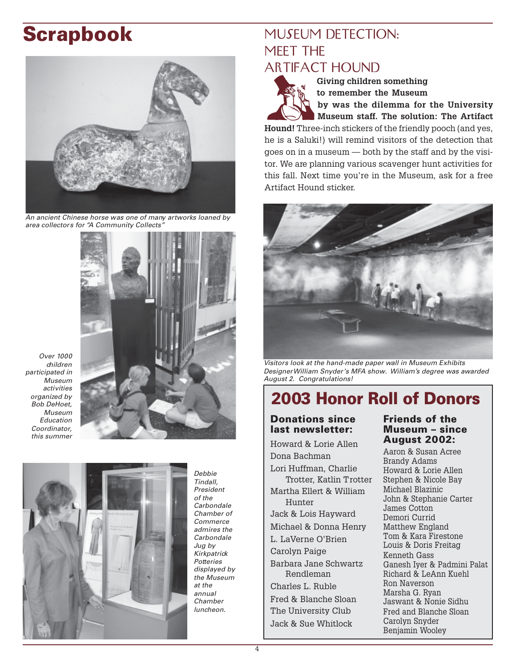# **Scrapbook**



An ancient Chinese horse was one of many artworks loaned by area collectors for "A Community Collects"



Over 1000 children participated in Museum activities organized by Bob DeHoet, Museum Education Coordinator, this summer



Debbie Tindall, President of the **Carbondale** Chamber of Commerce admires the Carbondale Jug by **Kirkpatrick Potteries** displayed by the Museum at the annual Chamber luncheon.

# MUSEUM DETECTION: MEET THE **ARTIFACT HOUND**



**Giving children something to remember the Museum by was the dilemma for the University**

**Museum staff. The solution: The Artifact**

**Hound!** Three-inch stickers of the friendly pooch (and yes, he is a Saluki!) will remind visitors of the detection that goes on in a museum — both by the staff and by the visitor. We are planning various scavenger hunt activities for this fall. Next time you're in the Museum, ask for a free Artifact Hound sticker.



Visitors look at the hand-made paper wall in Museum Exhibits Designer William Snyder's MFA show. William's degree was awarded August 2. Congratulations!

# **2003 Honor Roll of Donors**

#### **Donations since last newsletter:**

Howard & Lorie Allen Dona Bachman Lori Huffman, Charlie Trotter, Katlin Trotter Martha Ellert & William Hunter Jack & Lois Hayward Michael & Donna Henry L. LaVerne O'Brien Carolyn Paige Barbara Jane Schwartz Rendleman Charles L. Ruble Fred & Blanche Sloan The University Club Jack & Sue Whitlock

#### **Friends of the Museum – since August 2002:**

Aaron & Susan Acree Brandy Adams Howard & Lorie Allen Stephen & Nicole Bay Michael Blazinic John & Stephanie Carter James Cotton Demori Currid Matthew England Tom & Kara Firestone Louis & Doris Freitag Kenneth Gass Ganesh Iyer & Padmini Palat Richard & LeAnn Kuehl Ron Naverson Marsha G. Ryan Jaswant & Nonie Sidhu Fred and Blanche Sloan Carolyn Snyder Benjamin Wooley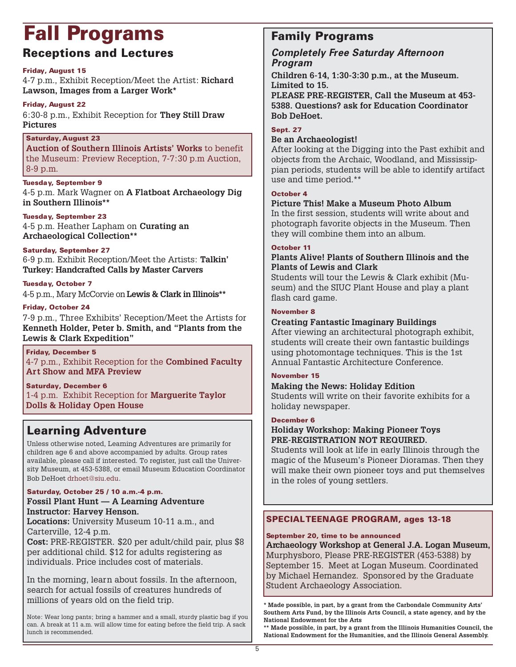# Fall Programs **Family Programs**

### **Receptions and Lectures**

#### **Friday, August 15**

4-7 p.m., Exhibit Reception/Meet the Artist: **Richard Lawson, Images from a Larger Work\***

#### **Friday, August 22**

6:30-8 p.m., Exhibit Reception for **They Still Draw Pictures**

#### **Saturday, August 23**

**Auction of Southern Illinois Artists' Works** to benefit the Museum: Preview Reception, 7-7:30 p.m Auction, 8-9 p.m.

#### **Tuesday, September 9**

4-5 p.m. Mark Wagner on **A Flatboat Archaeology Dig in Southern Illinois\*\***

#### **Tuesday, September 23**

4-5 p.m. Heather Lapham on **Curating an Archaeological Collection\*\***

#### **Saturday, September 27**

6-9 p.m. Exhibit Reception/Meet the Artists: **Talkin' Turkey: Handcrafted Calls by Master Carvers**

#### **Tuesday, October 7**

4-5 p.m., Mary McCorvie on **Lewis & Clark in Illinois\*\***

#### **Friday, October 24**

7-9 p.m., Three Exhibits' Reception/Meet the Artists for **Kenneth Holder, Peter b. Smith, and "Plants from the Lewis & Clark Expedition"**

#### **Friday, December 5** 4-7 p.m., Exhibit Reception for the **Combined Faculty Art Show and MFA Preview**

**Saturday, December 6** 1-4 p.m. Exhibit Reception for **Marguerite Taylor Dolls & Holiday Open House**

### **Learning Adventure**

Unless otherwise noted, Learning Adventures are primarily for children age 6 and above accompanied by adults. Group rates available, please call if interested. To register, just call the University Museum, at 453-5388, or email Museum Education Coordinator Bob DeHoet drhoet@siu.edu.

#### **Saturday, October 25 / 10 a.m.-4 p.m.**

#### **Fossil Plant Hunt — A Learning Adventure Instructor: Harvey Henson.**

**Locations:** University Museum 10-11 a.m., and Carterville, 12-4 p.m. **Cost:** PRE-REGISTER. \$20 per adult/child pair, plus \$8

per additional child. \$12 for adults registering as individuals. Price includes cost of materials.

In the morning, learn about fossils. In the afternoon, search for actual fossils of creatures hundreds of millions of years old on the field trip.

Note: Wear long pants; bring a hammer and a small, sturdy plastic bag if you can. A break at 11 a.m. will allow time for eating before the field trip. A sack lunch is recommended.

#### **Completely Free Saturday Afternoon Program**

**Children 6-14, 1:30-3:30 p.m., at the Museum. Limited to 15.**

**PLEASE PRE-REGISTER, Call the Museum at 453- 5388. Questions? ask for Education Coordinator Bob DeHoet.**

#### **Sept. 27**

#### **Be an Archaeologist!**

After looking at the Digging into the Past exhibit and objects from the Archaic, Woodland, and Mississippian periods, students will be able to identify artifact use and time period.\*\*

#### **October 4**

#### **Picture This! Make a Museum Photo Album**

In the first session, students will write about and photograph favorite objects in the Museum. Then they will combine them into an album.

#### **October 11**

#### **Plants Alive! Plants of Southern Illinois and the Plants of Lewis and Clark**

Students will tour the Lewis & Clark exhibit (Museum) and the SIUC Plant House and play a plant flash card game.

#### **November 8**

#### **Creating Fantastic Imaginary Buildings**

After viewing an architectural photograph exhibit, students will create their own fantastic buildings using photomontage techniques. This is the 1st Annual Fantastic Architecture Conference.

#### **November 15**

#### **Making the News: Holiday Edition**

Students will write on their favorite exhibits for a holiday newspaper.

#### **December 6**

#### **Holiday Workshop: Making Pioneer Toys PRE-REGISTRATION NOT REQUIRED.**

Students will look at life in early Illinois through the magic of the Museum's Pioneer Dioramas. Then they will make their own pioneer toys and put themselves in the roles of young settlers.

#### **SPECIAL TEENAGE PROGRAM, ages 13-18**

#### **September 20, time to be announced**

**Archaeology Workshop at General J.A. Logan Museum,** Murphysboro, Please PRE-REGISTER (453-5388) by September 15. Meet at Logan Museum. Coordinated by Michael Hernandez. Sponsored by the Graduate Student Archaeology Association.

**\* Made possible, in part, by a grant from the Carbondale Community Arts' Southern Arts Fund, by the Illinois Arts Council, a state agency, and by the National Endowment for the Arts**

**\*\* Made possible, in part, by a grant from the Illinois Humanities Council, the National Endowment for the Humanities, and the Illinois General Assembly.**